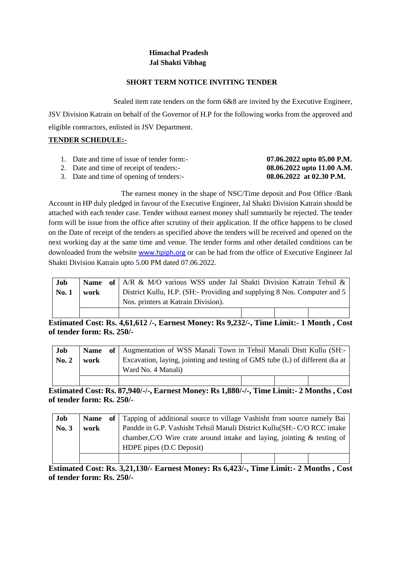## **Himachal Pradesh Jal Shakti Vibhag**

## **SHORT TERM NOTICE INVITING TENDER**

Sealed item rate tenders on the form  $6&8$  are invited by the Executive Engineer, JSV Division Katrain on behalf of the Governor of H.P for the following works from the approved and eligible contractors, enlisted in JSV Department.

## **TENDER SCHEDULE:-**

| 1. Date and time of issue of tender form:- | 07.06.2022 upto 05.00 P.M. |
|--------------------------------------------|----------------------------|
|                                            |                            |

- 2. Date and time of receipt of tenders:- **08.06.2022 upto 11.00 A.M.**
- 3. Date and time of opening of tenders:- **08.06.2022 at 02.30 P.M.**

The earnest money in the shape of NSC/Time deposit and Post Office /Bank Account in HP duly pledged in favour of the Executive Engineer, Jal Shakti Division Katrain should be attached with each tender case. Tender without earnest money shall summarily be rejected. The tender form will be issue from the office after scrutiny of their application. If the office happens to be closed on the Date of receipt of the tenders as specified above the tenders will be received and opened on the next working day at the same time and venue. The tender forms and other detailed conditions can be downloaded from the website [www.hpiph.org](http://www.hpiph.org/) or can be had from the office of Executive Engineer Jal Shakti Division Katrain upto 5.00 PM dated 07.06.2022.

| Job          |      | <b>Name</b> of $AR \& M/O$ various WSS under Jal Shakti Division Katrain Tehsil & |  |  |  |  |
|--------------|------|-----------------------------------------------------------------------------------|--|--|--|--|
| <b>No. 1</b> | work | District Kullu, H.P. (SH:- Providing and supplying 8 Nos. Computer and 5          |  |  |  |  |
|              |      | Nos. printers at Katrain Division).                                               |  |  |  |  |
|              |      |                                                                                   |  |  |  |  |

**Estimated Cost: Rs. 4,61,612 /-, Earnest Money: Rs 9,232/-, Time Limit:- 1 Month , Cost of tender form: Rs. 250/-**

| Job   |      | Name of   Augmentation of WSS Manali Town in Tehsil Manali Distt Kullu (SH:- |  |  |  |  |
|-------|------|------------------------------------------------------------------------------|--|--|--|--|
| No. 2 | work | Excavation, laying, jointing and testing of GMS tube (L) of different dia at |  |  |  |  |
|       |      | Ward No. 4 Manali)                                                           |  |  |  |  |
|       |      |                                                                              |  |  |  |  |

**Estimated Cost: Rs. 87,940/-/-, Earnest Money: Rs 1,880/-/-, Time Limit:- 2 Months , Cost of tender form: Rs. 250/-**

| Job  |      | <b>Name</b> of Tapping of additional source to village Vashisht from source namely Bai |  |  |  |  |
|------|------|----------------------------------------------------------------------------------------|--|--|--|--|
| No.3 | work | Pandde in G.P. Vashisht Tehsil Manali District Kullu(SH:- C/O RCC intake               |  |  |  |  |
|      |      | chamber, C/O Wire crate around intake and laying, jointing $\&$ testing of             |  |  |  |  |
|      |      | HDPE pipes (D.C Deposit)                                                               |  |  |  |  |
|      |      |                                                                                        |  |  |  |  |

**Estimated Cost: Rs. 3,21,130/- Earnest Money: Rs 6,423/-, Time Limit:- 2 Months , Cost of tender form: Rs. 250/-**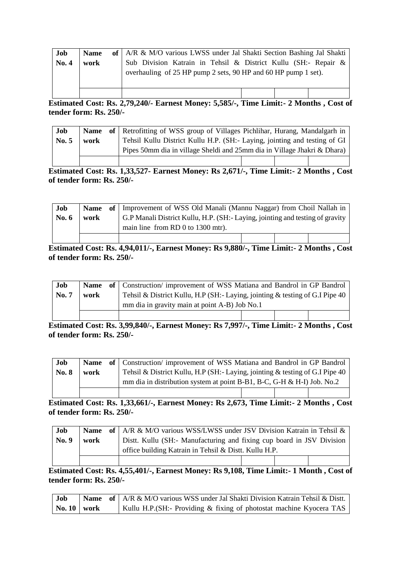| Job   | <b>Name</b> | of   A/R & M/O various LWSS under Jal Shakti Section Bashing Jal Shakti |
|-------|-------------|-------------------------------------------------------------------------|
| No. 4 | work        | Sub Division Katrain in Tehsil & District Kullu (SH:- Repair &          |
|       |             | overhauling of 25 HP pump 2 sets, 90 HP and 60 HP pump 1 set).          |
|       |             |                                                                         |

**Estimated Cost: Rs. 2,79,240/- Earnest Money: 5,585/-, Time Limit:- 2 Months , Cost of tender form: Rs. 250/-**

| Job   |      | <b>Name</b> of Retrofitting of WSS group of Villages Pichlihar, Hurang, Mandalgarh in |  |  |  |  |
|-------|------|---------------------------------------------------------------------------------------|--|--|--|--|
| No. 5 | work | Tehsil Kullu District Kullu H.P. (SH:- Laying, jointing and testing of GI             |  |  |  |  |
|       |      | Pipes 50mm dia in village Sheldi and 25mm dia in Village Jhakri & Dhara)              |  |  |  |  |
|       |      |                                                                                       |  |  |  |  |

**Estimated Cost: Rs. 1,33,527- Earnest Money: Rs 2,671/-, Time Limit:- 2 Months , Cost of tender form: Rs. 250/-**

| Job     | <b>Name</b> | of   Improvement of WSS Old Manali (Mannu Naggar) from Choil Nallah in         |  |  |  |  |
|---------|-------------|--------------------------------------------------------------------------------|--|--|--|--|
| No. $6$ | work        | G.P Manali District Kullu, H.P. (SH: - Laying, jointing and testing of gravity |  |  |  |  |
|         |             | main line from RD 0 to 1300 mtr).                                              |  |  |  |  |
|         |             |                                                                                |  |  |  |  |

# **Estimated Cost: Rs. 4,94,011/-, Earnest Money: Rs 9,880/-, Time Limit:- 2 Months , Cost of tender form: Rs. 250/-**

| Job   |      | <b>Name</b> of Construction/ improvement of WSS Matiana and Bandrol in GP Bandrol |  |  |  |  |
|-------|------|-----------------------------------------------------------------------------------|--|--|--|--|
| No. 7 | work | Tehsil & District Kullu, H.P (SH:-Laying, jointing & testing of G.I Pipe $40$     |  |  |  |  |
|       |      | mm dia in gravity main at point A-B) Job No.1                                     |  |  |  |  |
|       |      |                                                                                   |  |  |  |  |

**Estimated Cost: Rs. 3,99,840/-, Earnest Money: Rs 7,997/-, Time Limit:- 2 Months , Cost of tender form: Rs. 250/-**

| Job   |      | <b>Name</b> of Construction/ improvement of WSS Matiana and Bandrol in GP Bandrol |  |  |  |  |
|-------|------|-----------------------------------------------------------------------------------|--|--|--|--|
| No. 8 | work | Tehsil & District Kullu, H.P (SH: - Laying, jointing & testing of G.I Pipe 40     |  |  |  |  |
|       |      | mm dia in distribution system at point B-B1, B-C, G-H & H-I) Job. No.2            |  |  |  |  |
|       |      |                                                                                   |  |  |  |  |

**Estimated Cost: Rs. 1,33,661/-, Earnest Money: Rs 2,673, Time Limit:- 2 Months , Cost of tender form: Rs. 250/-**

| Job   |      | <b>Name</b> of $  A/R \& M/O$ various WSS/LWSS under JSV Division Katrain in Tehsil $\&$ |                                                       |  |  |  |  |
|-------|------|------------------------------------------------------------------------------------------|-------------------------------------------------------|--|--|--|--|
| No. 9 | work | Dist. Kullu (SH:- Manufacturing and fixing cup board in JSV Division                     |                                                       |  |  |  |  |
|       |      |                                                                                          | office building Katrain in Tehsil & Distt. Kullu H.P. |  |  |  |  |
|       |      |                                                                                          |                                                       |  |  |  |  |

**Estimated Cost: Rs. 4,55,401/-, Earnest Money: Rs 9,108, Time Limit:- 1 Month , Cost of tender form: Rs. 250/-**

| Job                         |  | <b>Name</b> of $AR \& M/O$ various WSS under Jal Shakti Division Katrain Tehsil & Distt. |
|-----------------------------|--|------------------------------------------------------------------------------------------|
| $\vert$ No. 10 $\vert$ work |  | Kullu H.P. (SH: - Providing & fixing of photostat machine Kyocera TAS                    |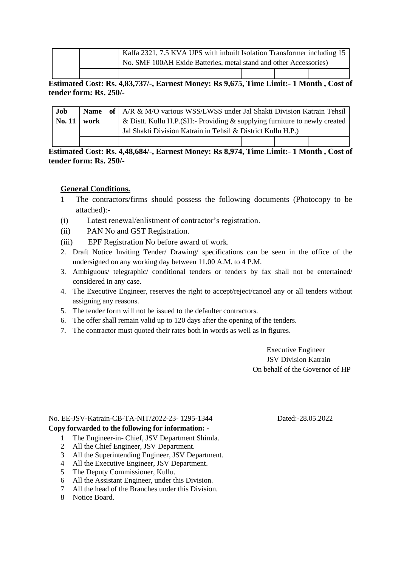|  | Kalfa 2321, 7.5 KVA UPS with inbuilt Isolation Transformer including 15 |  |  |  |  |  |
|--|-------------------------------------------------------------------------|--|--|--|--|--|
|  | No. SMF 100AH Exide Batteries, metal stand and other Accessories)       |  |  |  |  |  |
|  |                                                                         |  |  |  |  |  |

**Estimated Cost: Rs. 4,83,737/-, Earnest Money: Rs 9,675, Time Limit:- 1 Month , Cost of tender form: Rs. 250/-**

| Job                               |  | Name of   A/R & M/O various WSS/LWSS under Jal Shakti Division Katrain Tehsil |  |  |  |
|-----------------------------------|--|-------------------------------------------------------------------------------|--|--|--|
| $\text{No. } 11 \mid \text{work}$ |  | & Distt. Kullu H.P. (SH: - Providing & supplying furniture to newly created   |  |  |  |
|                                   |  | Jal Shakti Division Katrain in Tehsil & District Kullu H.P.)                  |  |  |  |
|                                   |  |                                                                               |  |  |  |

**Estimated Cost: Rs. 4,48,684/-, Earnest Money: Rs 8,974, Time Limit:- 1 Month , Cost of tender form: Rs. 250/-**

## **General Conditions.**

- 1 The contractors/firms should possess the following documents (Photocopy to be attached):-
- (i) Latest renewal/enlistment of contractor's registration.
- (ii) PAN No and GST Registration.
- (iii) EPF Registration No before award of work.
- 2. Draft Notice Inviting Tender/ Drawing/ specifications can be seen in the office of the undersigned on any working day between 11.00 A.M. to 4 P.M.
- 3. Ambiguous/ telegraphic/ conditional tenders or tenders by fax shall not be entertained/ considered in any case.
- 4. The Executive Engineer, reserves the right to accept/reject/cancel any or all tenders without assigning any reasons.
- 5. The tender form will not be issued to the defaulter contractors.
- 6. The offer shall remain valid up to 120 days after the opening of the tenders.
- 7. The contractor must quoted their rates both in words as well as in figures.

Executive Engineer JSV Division Katrain On behalf of the Governor of HP

No. EE-JSV-Katrain-CB-TA-NIT/2022-23- 1295-1344 Dated:-28.05.2022

## **Copy forwarded to the following for information: -**

- 1 The Engineer-in- Chief, JSV Department Shimla.
- 2 All the Chief Engineer, JSV Department.
- 3 All the Superintending Engineer, JSV Department.
- 4 All the Executive Engineer, JSV Department.
- 5 The Deputy Commissioner, Kullu.
- 6 All the Assistant Engineer, under this Division.
- 7 All the head of the Branches under this Division.
- 8 Notice Board.